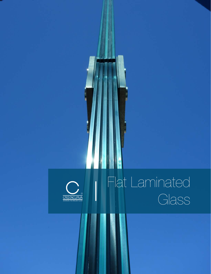## Flat Laminated Glass

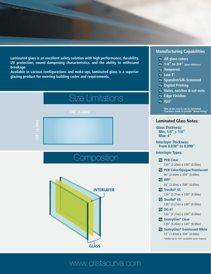**Laminated glass is an excellent safety solution with high performance, durability, UV protection, sound dampening characteristics, and the ability to withstand breakage.** 

**Available in various configurations and make-ups, laminated glass is a superior glazing product for meeting building codes and requirements.**



## www.cristacurva.com

## **Manufacturing Capabilities**

- **All glass colors**
- **1/4" to 3/4" (glass thickness)**
- **Tempered**
- $\overline{\mathbf{V}}$  Low  $\mathbf{E}^1$
- **M** Spandrel/Silk-Screened
- **Z** Digital Printing
- **Holes, notches & cut-outs**